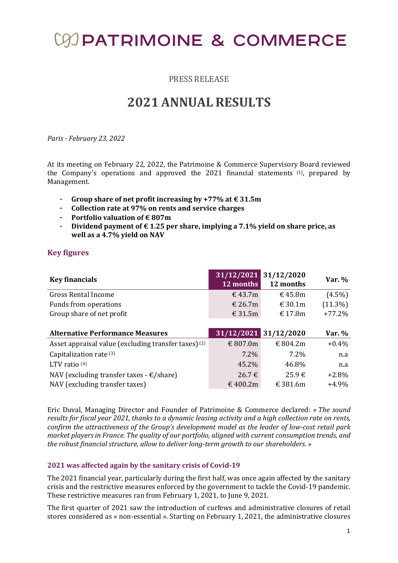# **COD PATRIMOINE & COMMERCE**

PRESS RELEASE

## 2021 ANNUAL RESULTS

Paris - February 23, 2022

At its meeting on February 22, 2022, the Patrimoine & Commerce Supervisory Board reviewed the Company's operations and approved the 2021 financial statements (1), prepared by Management.

- Group share of net profit increasing by +77% at  $\epsilon$  31.5m
- Collection rate at 97% on rents and service charges
- Portfolio valuation of  $\epsilon$  807m
- Dividend payment of  $\epsilon$  1.25 per share, implying a 7.1% yield on share price, as well as a 4.7% yield on NAV

### Key figures

| <b>Key financials</b>                                           | 31/12/2021 31/12/2020<br>12 months | 12 months  | Var. $%$   |
|-----------------------------------------------------------------|------------------------------------|------------|------------|
| <b>Gross Rental Income</b>                                      | $\text{€ }43.7\text{m}$            | € 45.8 $m$ | $(4.5\%)$  |
| Funds from operations                                           | € 26.7 $m$                         | € 30.1 $m$ | $(11.3\%)$ |
| Group share of net profit                                       | € 31.5 $m$                         | € 17.8 $m$ | $+77.2%$   |
|                                                                 |                                    |            |            |
|                                                                 |                                    |            |            |
| <b>Alternative Performance Measures</b>                         | 31/12/2021 31/12/2020              |            | Var. %     |
| Asset appraisal value (excluding transfer taxes) <sup>(2)</sup> | € 807.0m                           | € 804.2m   | $+0.4\%$   |
| Capitalization rate (3)                                         | 7.2%                               | $7.2\%$    | n.a        |
| LTV ratio $(4)$                                                 | 45.2%                              | 46.8%      | n.a        |
| NAV (excluding transfer taxes - $\epsilon$ /share)              | $26.7 \in$                         | $25.9 \in$ | $+2.8%$    |

Eric Duval, Managing Director and Founder of Patrimoine & Commerce declared: « The sound results for fiscal year 2021, thanks to a dynamic leasing activity and a high collection rate on rents, confirm the attractiveness of the Group's development model as the leader of low-cost retail park market players in France. The quality of our portfolio, aligned with current consumption trends, and the robust financial structure, allow to deliver long-term growth to our shareholders. »

### 2021 was affected again by the sanitary crisis of Covid-19

The 2021 financial year, particularly during the first half, was once again affected by the sanitary crisis and the restrictive measures enforced by the government to tackle the Covid-19 pandemic. These restrictive measures ran from February 1, 2021, to June 9, 2021.

The first quarter of 2021 saw the introduction of curfews and administrative closures of retail stores considered as « non-essential ». Starting on February 1, 2021, the administrative closures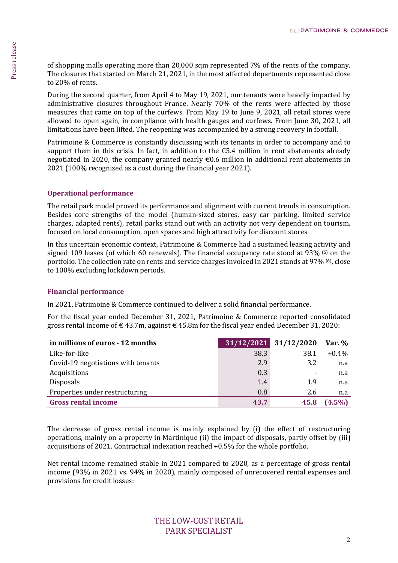### Operational performance

### Financial performance

| signed 109 leases (of which 60 renewals). The financial occupancy rate stood at 93% $(5)$ on the<br>portfolio. The collection rate on rents and service charges invoiced in 2021 stands at 97% (6), close<br>to 100% excluding lockdown periods. |             |                     |                  |
|--------------------------------------------------------------------------------------------------------------------------------------------------------------------------------------------------------------------------------------------------|-------------|---------------------|------------------|
|                                                                                                                                                                                                                                                  |             |                     |                  |
| <b>Financial performance</b>                                                                                                                                                                                                                     |             |                     |                  |
|                                                                                                                                                                                                                                                  |             |                     |                  |
| In 2021, Patrimoine & Commerce continued to deliver a solid financial performance.                                                                                                                                                               |             |                     |                  |
| For the fiscal year ended December 31, 2021, Patrimoine & Commerce reported consolidated                                                                                                                                                         |             |                     |                  |
| gross rental income of $\epsilon$ 43.7m, against $\epsilon$ 45.8m for the fiscal year ended December 31, 2020:                                                                                                                                   |             |                     |                  |
| in millions of euros - 12 months                                                                                                                                                                                                                 | 31/12/2021  | $31/12/2020$ Var. % |                  |
|                                                                                                                                                                                                                                                  |             |                     |                  |
|                                                                                                                                                                                                                                                  |             |                     |                  |
| Like-for-like                                                                                                                                                                                                                                    | 38.3        | 38.1                | $+0.4%$          |
| Covid-19 negotiations with tenants                                                                                                                                                                                                               | 2.9         | 3.2                 | n.a              |
| Acquisitions                                                                                                                                                                                                                                     | 0.3         |                     | n.a              |
| Disposals                                                                                                                                                                                                                                        | 1.4         | 1.9                 | n.a              |
| Properties under restructuring<br><b>Gross rental income</b>                                                                                                                                                                                     | 0.8<br>43.7 | 2.6<br>45.8         | n.a<br>$(4.5\%)$ |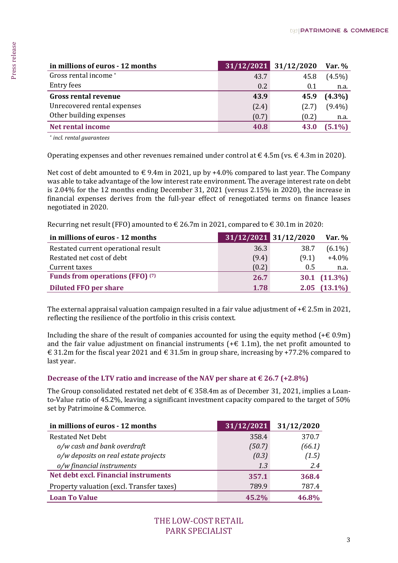|                                                                                                                                                                                                                                                                                                                                                                                                                                  | 31/12/2021    | 31/12/2020            |
|----------------------------------------------------------------------------------------------------------------------------------------------------------------------------------------------------------------------------------------------------------------------------------------------------------------------------------------------------------------------------------------------------------------------------------|---------------|-----------------------|
| Gross rental income*<br><b>Entry fees</b>                                                                                                                                                                                                                                                                                                                                                                                        | 43.7          | 45.8                  |
| <b>Gross rental revenue</b>                                                                                                                                                                                                                                                                                                                                                                                                      | 0.2<br>43.9   | 0.1<br>45.9           |
| Unrecovered rental expenses                                                                                                                                                                                                                                                                                                                                                                                                      | (2.4)         |                       |
| Other building expenses                                                                                                                                                                                                                                                                                                                                                                                                          | (0.7)         | (2.7)                 |
| <b>Net rental income</b>                                                                                                                                                                                                                                                                                                                                                                                                         | 40.8          | (0.2)<br>43.0         |
| * incl. rental guarantees                                                                                                                                                                                                                                                                                                                                                                                                        |               |                       |
| Operating expenses and other revenues remained under control at $\in$ 4.5m (vs. $\in$ 4.3m in 2020).                                                                                                                                                                                                                                                                                                                             |               |                       |
| Net cost of debt amounted to $\epsilon$ 9.4m in 2021, up by +4.0% compared to last year. The Company<br>was able to take advantage of the low interest rate environment. The average interest rate on debt<br>is 2.04% for the 12 months ending December 31, 2021 (versus 2.15% in 2020), the increase in<br>financial expenses derives from the full-year effect of renegotiated terms on finance leases<br>negotiated in 2020. |               |                       |
| Recurring net result (FFO) amounted to $\in$ 26.7m in 2021, compared to $\in$ 30.1m in 2020:                                                                                                                                                                                                                                                                                                                                     |               |                       |
| in millions of euros - 12 months                                                                                                                                                                                                                                                                                                                                                                                                 |               | 31/12/2021 31/12/2020 |
| Restated current operational result<br>Restated net cost of debt                                                                                                                                                                                                                                                                                                                                                                 | 36.3          | 38.7                  |
| Current taxes                                                                                                                                                                                                                                                                                                                                                                                                                    | (9.4)         | (9.1)<br>0.5          |
| Funds from operations (FFO) <sup>(7)</sup>                                                                                                                                                                                                                                                                                                                                                                                       | (0.2)<br>26.7 |                       |
| <b>Diluted FFO per share</b>                                                                                                                                                                                                                                                                                                                                                                                                     | 1.78          | 30.1<br>2.05          |
| The external appraisal valuation campaign resulted in a fair value adjustment of $+\epsilon$ 2.5m in 2021,<br>reflecting the resilience of the portfolio in this crisis context.                                                                                                                                                                                                                                                 |               |                       |
| Including the share of the result of companies accounted for using the equity method $(+\epsilon 0.9m)$<br>and the fair value adjustment on financial instruments ( $+ \epsilon$ 1.1m), the net profit amounted to<br>€ 31.2m for the fiscal year 2021 and $\in$ 31.5m in group share, increasing by +77.2% compared to<br>last year.                                                                                            |               |                       |
| Decrease of the LTV ratio and increase of the NAV per share at $\in$ 26.7 (+2.8%)                                                                                                                                                                                                                                                                                                                                                |               |                       |
| The Group consolidated restated net debt of $\epsilon$ 358.4m as of December 31, 2021, implies a Loan-<br>to-Value ratio of 45.2%, leaving a significant investment capacity compared to the target of 50%<br>set by Patrimoine & Commerce.                                                                                                                                                                                      |               |                       |
| in millions of euros - 12 months                                                                                                                                                                                                                                                                                                                                                                                                 | 31/12/2021    | 31/12/2020            |
| <b>Restated Net Debt</b>                                                                                                                                                                                                                                                                                                                                                                                                         | 358.4         |                       |
| o/w cash and bank overdraft                                                                                                                                                                                                                                                                                                                                                                                                      | (50.7)        | 370.7<br>(66.1)       |
| o/w deposits on real estate projects                                                                                                                                                                                                                                                                                                                                                                                             | (0.3)         | (1.5)                 |
| o/w financial instruments                                                                                                                                                                                                                                                                                                                                                                                                        | 1.3           | 2.4                   |
| Net debt excl. Financial instruments                                                                                                                                                                                                                                                                                                                                                                                             | 357.1         | 368.4                 |
| Property valuation (excl. Transfer taxes)                                                                                                                                                                                                                                                                                                                                                                                        | 789.9         |                       |
| <b>Loan To Value</b>                                                                                                                                                                                                                                                                                                                                                                                                             | 45.2%         | 787.4<br>46.8%        |

| in millions of euros - 12 months    |       | 31/12/2021 31/12/2020 | Var. $%$              |
|-------------------------------------|-------|-----------------------|-----------------------|
| Restated current operational result | 36.3  | 38.7                  | $(6.1\%)$             |
| Restated net cost of debt           | (9.4) | (9.1)                 | $+4.0%$               |
| Current taxes                       | (0.2) | 0.5                   | n.a.                  |
| Funds from operations (FFO) (7)     | 26.7  |                       | $30.1 \quad (11.3\%)$ |
| <b>Diluted FFO per share</b>        | 1.78  | 2.05                  | $(13.1\%)$            |

### Decrease of the LTV ratio and increase of the NAV per share at  $\in$  26.7 (+2.8%)

| in millions of euros - 12 months          | 31/12/2021 | 31/12/2020 |
|-------------------------------------------|------------|------------|
| <b>Restated Net Debt</b>                  | 358.4      | 370.7      |
| o/w cash and bank overdraft               | (50.7)     | (66.1)     |
| o/w deposits on real estate projects      | (0.3)      | (1.5)      |
| o/w financial instruments                 | 1.3        | 2.4        |
| Net debt excl. Financial instruments      | 357.1      | 368.4      |
| Property valuation (excl. Transfer taxes) | 789.9      | 787.4      |
| <b>Loan To Value</b>                      | $45.2\%$   | 46.8%      |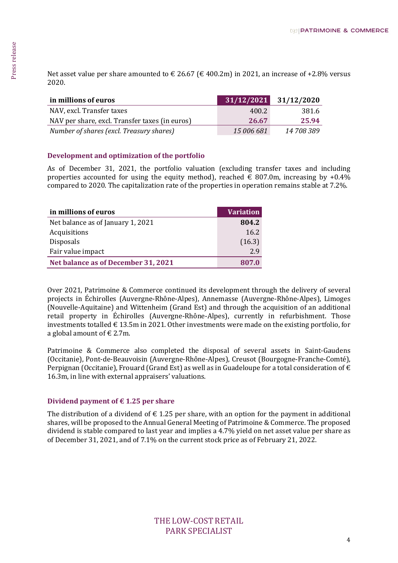| in millions of euros                           | 31/12/2021 | 31/12/2020 |
|------------------------------------------------|------------|------------|
| NAV, excl. Transfer taxes                      | 400.2      | 381.6      |
| NAV per share, excl. Transfer taxes (in euros) | 26.67      | 25.94      |
| Number of shares (excl. Treasury shares)       | 15 006 681 | 14 708 389 |

### Development and optimization of the portfolio

As of December 31, 2021, the portfolio valuation (excluding transfer taxes and including properties accounted for using the equity method), reached  $\epsilon$  807.0m, increasing by +0.4% compared to 2020. The capitalization rate of the properties in operation remains stable at 7.2%.

| in millions of euros                | <b>Variation</b> |
|-------------------------------------|------------------|
| Net balance as of January 1, 2021   | 804.2            |
| Acquisitions                        | 16.2             |
| <b>Disposals</b>                    | (16.3)           |
| Fair value impact                   | 2.9              |
| Net balance as of December 31, 2021 | 807.0            |

At asset value per share amounted to  $\epsilon$  26.67 ( $\epsilon$  400.2m) in 2021, an increase of +2.8% versus<br>
2020.<br>
ANV, rec. Transfer traces in earms)<br>  $\frac{400.27}{32000}$ <br>  $\frac{25.64}{160000}$  and  $\frac{300}{20000}$ <br>  $\frac{25.64}{160000}$ Over 2021, Patrimoine & Commerce continued its development through the delivery of several projects in Échirolles (Auvergne-Rhône-Alpes), Annemasse (Auvergne-Rhône-Alpes), Limoges (Nouvelle-Aquitaine) and Wittenheim (Grand Est) and through the acquisition of an additional retail property in Échirolles (Auvergne-Rhône-Alpes), currently in refurbishment. Those investments totalled  $\in$  13.5m in 2021. Other investments were made on the existing portfolio, for a global amount of  $\in$  2.7m.

Patrimoine & Commerce also completed the disposal of several assets in Saint-Gaudens (Occitanie), Pont-de-Beauvoisin (Auvergne-Rhône-Alpes), Creusot (Bourgogne-Franche-Comté), Perpignan (Occitanie), Frouard (Grand Est) as well as in Guadeloupe for a total consideration of  $\epsilon$ 16.3m, in line with external appraisers' valuations.

### Dividend payment of  $\epsilon$  1.25 per share

The distribution of a dividend of  $\epsilon$  1.25 per share, with an option for the payment in additional shares, will be proposed to the Annual General Meeting of Patrimoine & Commerce. The proposed dividend is stable compared to last year and implies a 4.7% yield on net asset value per share as of December 31, 2021, and of 7.1% on the current stock price as of February 21, 2022.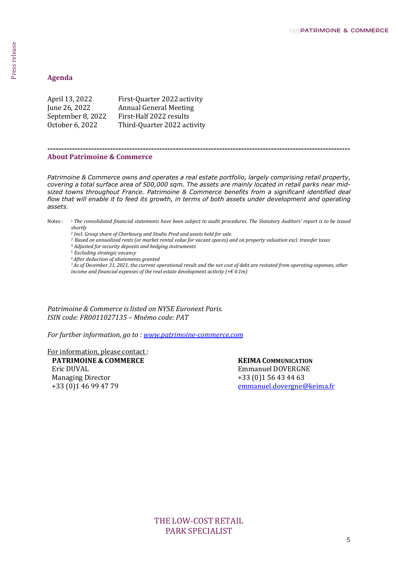| April 13, 2022    | First-Quarter 2022 activity   |
|-------------------|-------------------------------|
| June 26, 2022     | <b>Annual General Meeting</b> |
| September 8, 2022 | First-Half 2022 results       |
| October 6, 2022   | Third-Quarter 2022 activity   |

### About Patrimoine & Commerce

Agenda<br>
5 Press Cuarter 2022 archivity<br>
Jerenda Agenta 2022 archivity<br>
Jerenda Agent 2022 archivity<br>
Jerenda Agent 2022 archivity<br>
Scholar Cass 2022 Tried Quarter 2022 archivity<br>
About Press release Agent 2022 archivity<br> Patrimoine & Commerce owns and operates a real estate portfolio, largely comprising retail property, covering a total surface area of 500,000 sqm. The assets are mainly located in retail parks near midsized towns throughout France. Patrimoine & Commerce benefits from a significant identified deal flow that will enable it to feed its growth, in terms of both assets under development and operating assets.

---------------------------------------------------------------------------------------------------------------

- Notes : <sup>1</sup> The consolidated financial statements have been subject to audit procedures. The Statutory Auditors' report is to be issued shortly
	- 2 Incl. Group share of Cherbourg and Studio Prod and assets held for sale.
	- <sup>3</sup> Based on annualized rents (or market rental value for vacant spaces) and on property valuation excl. transfer taxes
	- 4 Adjusted for security deposits and hedging instruments
	- <sup>5</sup> Excluding strategic vacancy
	- <sup>6</sup>After deduction of abatements granted
	- <sup>7</sup>As of December 31, 2021, the current operational result and the net cost of debt are restated from operating expenses, other income and financial expenses of the real estate development activity  $(+\epsilon 0.1m)$

Patrimoine & Commerce is listed on NYSE Euronext Paris. ISIN code: FR0011027135 – Mnémo code: PAT

For further information, go to : www.patrimoine-commerce.com

For information, please contact :

Eric DUVAL Managing Director +33 (0)1 46 99 47 79

PATRIMOINE & COMMERCE KEIMA COMMUNICATION Emmanuel DOVERGNE +33 (0)1 56 43 44 63 emmanuel.dovergne@keima.fr

> THE LOW-COST RETAIL PARK SPECIALIST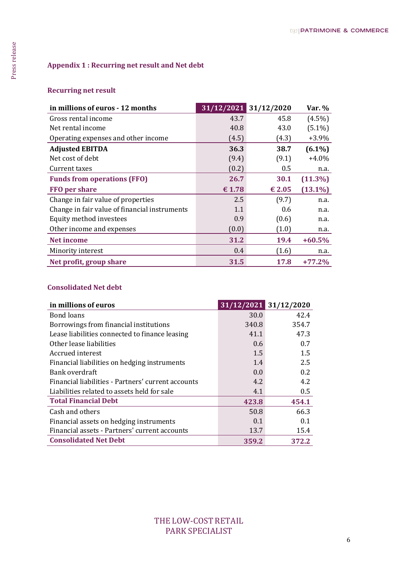### Recurring net result

| Gross rental income<br>Net rental income<br>Operating expenses and other income | 43.7<br>40.8 |                       | 31/12/2021 31/12/2020 | Var. $%$                 |
|---------------------------------------------------------------------------------|--------------|-----------------------|-----------------------|--------------------------|
|                                                                                 |              |                       | 45.8                  | $(4.5\%)$                |
|                                                                                 |              |                       | 43.0                  | $(5.1\%)$                |
|                                                                                 | (4.5)        |                       | (4.3)                 | $+3.9%$                  |
| <b>Adjusted EBITDA</b>                                                          | 36.3         |                       | 38.7                  | $(6.1\%)$                |
| Net cost of debt                                                                | (9.4)        |                       | (9.1)                 | $+4.0%$                  |
| Current taxes                                                                   | (0.2)        |                       | 0.5                   | n.a.                     |
| <b>Funds from operations (FFO)</b>                                              | 26.7         |                       | 30.1                  | $(11.3\%)$               |
| FFO per share                                                                   | € 1.78       |                       | € 2.05                | $(13.1\%)$               |
| Change in fair value of properties                                              | 2.5          |                       | (9.7)                 | n.a.                     |
| Change in fair value of financial instruments                                   | 1.1          |                       | 0.6                   | n.a.                     |
| Equity method investees                                                         | 0.9          |                       | (0.6)                 | n.a.                     |
| Other income and expenses                                                       | (0.0)        |                       | (1.0)                 | n.a.                     |
|                                                                                 | 31.2         |                       | 19.4                  | $+60.5%$                 |
| <b>Net income</b>                                                               |              |                       |                       |                          |
| Minority interest                                                               | 0.4          |                       | (1.6)                 |                          |
| Net profit, group share<br><b>Consolidated Net debt</b><br>in millions of euros | 31.5         | 31/12/2021 31/12/2020 | 17.8                  |                          |
| <b>Bond loans</b>                                                               |              | 30.0                  |                       | n.a.<br>$+77.2%$<br>42.4 |
| Borrowings from financial institutions                                          |              | 340.8                 | 354.7                 |                          |
| Lease liabilities connected to finance leasing                                  |              | 41.1                  | 47.3                  |                          |
| Other lease liabilities                                                         |              | 0.6                   |                       | 0.7                      |
| Accrued interest                                                                |              | 1.5                   |                       | 1.5                      |
| Financial liabilities on hedging instruments                                    |              | 1.4                   |                       | 2.5                      |
| <b>Bank overdraft</b><br>Financial liabilities - Partners' current accounts     |              | 0.0<br>4.2            |                       | 0.2<br>4.2               |
| Liabilities related to assets held for sale                                     |              | 4.1                   |                       | $0.5\,$                  |
| <b>Total Financial Debt</b>                                                     |              | 423.8                 | 454.1                 |                          |
| Cash and others                                                                 |              | 50.8                  |                       | 66.3                     |
| Financial assets on hedging instruments                                         |              | 0.1                   |                       | 0.1                      |
| Financial assets - Partners' current accounts<br><b>Consolidated Net Debt</b>   |              | 13.7                  |                       | 15.4                     |

### Consolidated Net debt

| in millions of euros                               |       | 31/12/2021 31/12/2020 |
|----------------------------------------------------|-------|-----------------------|
| <b>Bond loans</b>                                  | 30.0  | 42.4                  |
| Borrowings from financial institutions             | 340.8 | 354.7                 |
| Lease liabilities connected to finance leasing     | 41.1  | 47.3                  |
| Other lease liabilities                            | 0.6   | 0.7                   |
| Accrued interest                                   | 1.5   | $1.5\,$               |
| Financial liabilities on hedging instruments       | 1.4   | 2.5                   |
| Bank overdraft                                     | 0.0   | 0.2                   |
| Financial liabilities - Partners' current accounts | 4.2   | 4.2                   |
| Liabilities related to assets held for sale        | 4.1   | 0.5                   |
| <b>Total Financial Debt</b>                        | 423.8 | 454.1                 |
| Cash and others                                    | 50.8  | 66.3                  |
| Financial assets on hedging instruments            | 0.1   | 0.1                   |
| Financial assets - Partners' current accounts      | 13.7  | 15.4                  |
| <b>Consolidated Net Debt</b>                       | 359.2 | 372.2                 |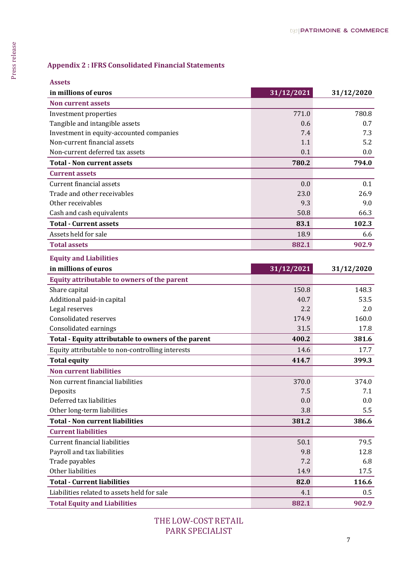| <b>Assets</b>                                       |            |            |
|-----------------------------------------------------|------------|------------|
| in millions of euros                                | 31/12/2021 | 31/12/2020 |
| <b>Non current assets</b>                           |            |            |
| Investment properties                               | 771.0      |            |
| Tangible and intangible assets                      | 0.6        |            |
| Investment in equity-accounted companies            | 7.4        |            |
| Non-current financial assets                        | 1.1        |            |
| Non-current deferred tax assets                     | 0.1        |            |
| <b>Total - Non current assets</b>                   | 780.2      |            |
| <b>Current assets</b>                               |            |            |
| Current financial assets                            | 0.0        |            |
| Trade and other receivables                         | 23.0       |            |
| Other receivables                                   | 9.3        |            |
| Cash and cash equivalents                           | 50.8       |            |
| <b>Total - Current assets</b>                       | 83.1       |            |
| Assets held for sale                                | 18.9       |            |
| <b>Total assets</b>                                 | 882.1      |            |
| <b>Equity and Liabilities</b>                       |            |            |
| in millions of euros                                | 31/12/2021 | 31/12/2020 |
| Equity attributable to owners of the parent         |            |            |
| Share capital                                       | 150.8      |            |
| Additional paid-in capital                          | 40.7       |            |
| Legal reserves                                      | 2.2        |            |
| <b>Consolidated reserves</b>                        | 174.9      |            |
| Consolidated earnings                               | 31.5       |            |
| Total - Equity attributable to owners of the parent | 400.2      |            |
| Equity attributable to non-controlling interests    | 14.6       |            |
| <b>Total equity</b>                                 | 414.7      |            |
| <b>Non current liabilities</b>                      |            |            |
| Non current financial liabilities                   | 370.0      |            |
| Deposits                                            | 7.5        |            |
| Deferred tax liabilities                            | 0.0        |            |
| Other long-term liabilities                         | 3.8        |            |
| <b>Total - Non current liabilities</b>              | 381.2      |            |
| <b>Current liabilities</b>                          |            |            |
| <b>Current financial liabilities</b>                | 50.1       |            |
| Payroll and tax liabilities                         | 9.8        |            |
| Trade payables                                      | 7.2        |            |
| Other liabilities                                   | 14.9       |            |
| <b>Total - Current liabilities</b>                  | 82.0       |            |
|                                                     | 4.1        |            |
| Liabilities related to assets held for sale         |            |            |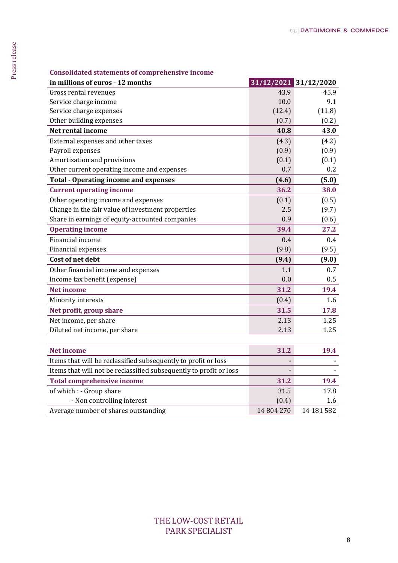| in millions of euros - 12 months<br>Gross rental revenues          | 31/12/2021 31/12/2020 |            |
|--------------------------------------------------------------------|-----------------------|------------|
|                                                                    | 43.9                  | 45.9       |
| Service charge income                                              | 10.0                  | 9.1        |
| Service charge expenses                                            | (12.4)                | (11.8)     |
| Other building expenses                                            | (0.7)                 | (0.2)      |
| Net rental income                                                  | 40.8                  | 43.0       |
| External expenses and other taxes                                  | (4.3)                 | (4.2)      |
| Payroll expenses                                                   | (0.9)                 | (0.9)      |
| Amortization and provisions                                        | (0.1)                 | (0.1)      |
| Other current operating income and expenses                        | 0.7                   | 0.2        |
| <b>Total - Operating income and expenses</b>                       | (4.6)                 | (5.0)      |
| <b>Current operating income</b>                                    | 36.2                  | 38.0       |
| Other operating income and expenses                                | (0.1)                 | (0.5)      |
| Change in the fair value of investment properties                  | 2.5                   | (9.7)      |
| Share in earnings of equity-accounted companies                    | 0.9                   | (0.6)      |
| <b>Operating income</b>                                            | 39.4                  | 27.2       |
| Financial income                                                   | 0.4                   | 0.4        |
| Financial expenses                                                 | (9.8)                 | (9.5)      |
| Cost of net debt                                                   | (9.4)                 | (9.0)      |
| Other financial income and expenses                                | 1.1                   | 0.7        |
| Income tax benefit (expense)                                       | 0.0                   | 0.5        |
| <b>Net income</b>                                                  | 31.2                  | 19.4       |
| Minority interests                                                 | (0.4)                 | 1.6        |
| Net profit, group share                                            | 31.5                  | 17.8       |
| Net income, per share                                              | 2.13                  | 1.25       |
| Diluted net income, per share                                      | 2.13                  | 1.25       |
|                                                                    |                       |            |
| <b>Net income</b>                                                  | 31.2                  | 19.4       |
| Items that will be reclassified subsequently to profit or loss     |                       |            |
| Items that will not be reclassified subsequently to profit or loss |                       |            |
| <b>Total comprehensive income</b>                                  | 31.2                  | 19.4       |
| of which : - Group share                                           | 31.5                  | 17.8       |
| - Non controlling interest                                         | (0.4)                 | 1.6        |
| Average number of shares outstanding                               | 14 804 270            | 14 181 582 |